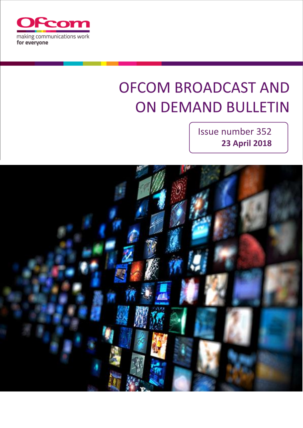

# **OFCOM BROADCAST AND ON DEMAND BULLETIN**

Issue number 352 **23 April 2018**

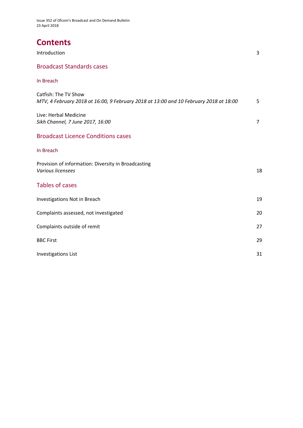Issue 352 of Ofcom's Broadcast and On Demand Bulletin 23 April 2018

# **Contents**

| Introduction                                                                                                  |   |
|---------------------------------------------------------------------------------------------------------------|---|
| <b>Broadcast Standards cases</b>                                                                              |   |
| In Breach                                                                                                     |   |
| Catfish: The TV Show<br>MTV, 4 February 2018 at 16:00, 9 February 2018 at 13:00 and 10 February 2018 at 18:00 | 5 |
| Live: Herbal Medicine                                                                                         |   |

*Sikh Channel, 7 June 2017, 16:00* 7

### Broadcast Licence Conditions cases

#### In Breach

| Provision of information: Diversity in Broadcasting<br>Various licensees | 18 |
|--------------------------------------------------------------------------|----|
| <b>Tables of cases</b>                                                   |    |
| Investigations Not in Breach                                             | 19 |
| Complaints assessed, not investigated                                    | 20 |
| Complaints outside of remit                                              | 27 |
| <b>BBC First</b>                                                         | 29 |
| <b>Investigations List</b>                                               | 31 |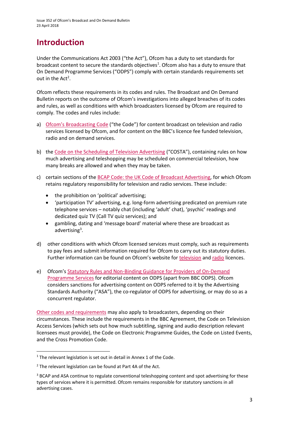# **Introduction**

Under the Communications Act 2003 ("the Act"), Ofcom has a duty to set standards for broadcast content to secure the standards objectives<sup>1</sup>. Ofcom also has a duty to ensure that On Demand Programme Services ("ODPS") comply with certain standards requirements set out in the  $Act^2$ .

Ofcom reflects these requirements in its codes and rules. The Broadcast and On Demand Bulletin reports on the outcome of Ofcom's investigations into alleged breaches of its codes and rules, as well as conditions with which broadcasters licensed by Ofcom are required to comply. The codes and rules include:

- a) [Ofcom's Broadcasting Code](http://stakeholders.ofcom.org.uk/broadcasting/broadcast-codes/broadcast-code/) ("the Code") for content broadcast on television and radio services licensed by Ofcom, and for content on the BBC's licence fee funded television, radio and on demand services.
- b) the [Code on the Scheduling of Television Advertising](https://www.ofcom.org.uk/__data/assets/pdf_file/0014/32162/costa-april-2016.pdf) ("COSTA"), containing rules on how much advertising and teleshopping may be scheduled on commercial television, how many breaks are allowed and when they may be taken.
- c) certain sections of th[e BCAP Code: the UK Code of Broadcast Advertising,](https://www.cap.org.uk/Advertising-Codes/Broadcast.aspx) for which Ofcom retains regulatory responsibility for television and radio services. These include:
	- the prohibition on 'political' advertising;
	- 'participation TV' advertising, e.g. long-form advertising predicated on premium rate telephone services – notably chat (including 'adult' chat), 'psychic' readings and dedicated quiz TV (Call TV quiz services); and
	- gambling, dating and 'message board' material where these are broadcast as advertising<sup>3</sup>.
- d) other conditions with which Ofcom licensed services must comply, such as requirements to pay fees and submit information required for Ofcom to carry out its statutory duties. Further information can be found on Ofcom's website for [television](http://licensing.ofcom.org.uk/tv-broadcast-licences/) and [radio](http://licensing.ofcom.org.uk/radio-broadcast-licensing/) licences.
- e) Ofcom's [Statutory Rules and Non-Binding Guidance for Providers of On-Demand](http://stakeholders.ofcom.org.uk/binaries/broadcast/on-demand/rules-guidance/rules_and_guidance.pdf)  [Programme Services](http://stakeholders.ofcom.org.uk/binaries/broadcast/on-demand/rules-guidance/rules_and_guidance.pdf) for editorial content on ODPS (apart from BBC ODPS). Ofcom considers sanctions for advertising content on ODPS referred to it by the Advertising Standards Authority ("ASA"), the co-regulator of ODPS for advertising, or may do so as a concurrent regulator.

[Other codes and requirements](http://stakeholders.ofcom.org.uk/broadcasting/broadcast-codes/) may also apply to broadcasters, depending on their circumstances. These include the requirements in the BBC Agreement, the Code on Television Access Services (which sets out how much subtitling, signing and audio description relevant licensees must provide), the Code on Electronic Programme Guides, the Code on Listed Events, and the Cross Promotion Code.

1

<sup>&</sup>lt;sup>1</sup> The relevant legislation is set out in detail in Annex 1 of the Code.

 $2$  The relevant legislation can be found at Part 4A of the Act.

<sup>&</sup>lt;sup>3</sup> BCAP and ASA continue to regulate conventional teleshopping content and spot advertising for these types of services where it is permitted. Ofcom remains responsible for statutory sanctions in all advertising cases.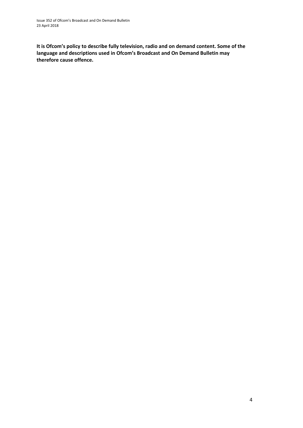**It is Ofcom's policy to describe fully television, radio and on demand content. Some of the language and descriptions used in Ofcom's Broadcast and On Demand Bulletin may therefore cause offence.**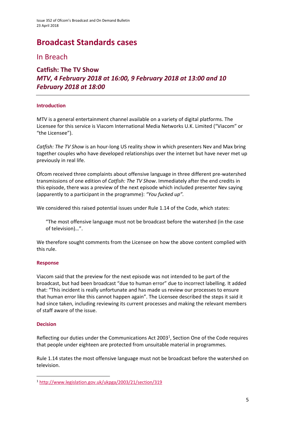# **Broadcast Standards cases**

In Breach

### **Catfish: The TV Show** *MTV, 4 February 2018 at 16:00, 9 February 2018 at 13:00 and 10 February 2018 at 18:00*

### **Introduction**

MTV is a general entertainment channel available on a variety of digital platforms. The Licensee for this service is Viacom International Media Networks U.K. Limited ("Viacom" or "the Licensee").

*Catfish: The TV Show* is an hour-long US reality show in which presenters Nev and Max bring together couples who have developed relationships over the internet but have never met up previously in real life.

Ofcom received three complaints about offensive language in three different pre-watershed transmissions of one edition of *Catfish: The TV Show*. Immediately after the end credits in this episode, there was a preview of the next episode which included presenter Nev saying (apparently to a participant in the programme): *"You fucked up".*

We considered this raised potential issues under Rule 1.14 of the Code, which states:

"The most offensive language must not be broadcast before the watershed (in the case of television)…".

We therefore sought comments from the Licensee on how the above content complied with this rule.

### **Response**

Viacom said that the preview for the next episode was not intended to be part of the broadcast, but had been broadcast "due to human error" due to incorrect labelling. It added that: "This incident is really unfortunate and has made us review our processes to ensure that human error like this cannot happen again". The Licensee described the steps it said it had since taken, including reviewing its current processes and making the relevant members of staff aware of the issue.

### **Decision**

**.** 

Reflecting our duties under the Communications Act 2003<sup>1</sup>, Section One of the Code requires that people under eighteen are protected from unsuitable material in programmes.

Rule 1.14 states the most offensive language must not be broadcast before the watershed on television.

<sup>1</sup> <http://www.legislation.gov.uk/ukpga/2003/21/section/319>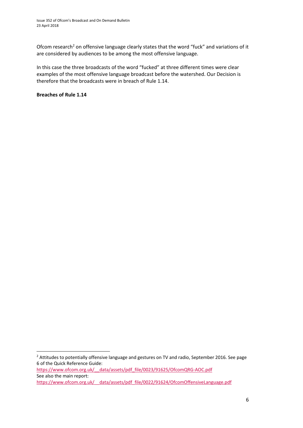Ofcom research<sup>2</sup> on offensive language clearly states that the word "fuck" and variations of it are considered by audiences to be among the most offensive language.

In this case the three broadcasts of the word "fucked" at three different times were clear examples of the most offensive language broadcast before the watershed. Our Decision is therefore that the broadcasts were in breach of Rule 1.14.

**Breaches of Rule 1.14**

1

<sup>&</sup>lt;sup>2</sup> Attitudes to potentially offensive language and gestures on TV and radio, September 2016. See page 6 of the Quick Reference Guide: [https://www.ofcom.org.uk/\\_\\_data/assets/pdf\\_file/0023/91625/OfcomQRG-AOC.pdf](https://www.ofcom.org.uk/__data/assets/pdf_file/0023/91625/OfcomQRG-AOC.pdf) See also the main report: [https://www.ofcom.org.uk/\\_\\_data/assets/pdf\\_file/0022/91624/OfcomOffensiveLanguage.pdf](https://www.ofcom.org.uk/__data/assets/pdf_file/0022/91624/OfcomOffensiveLanguage.pdf)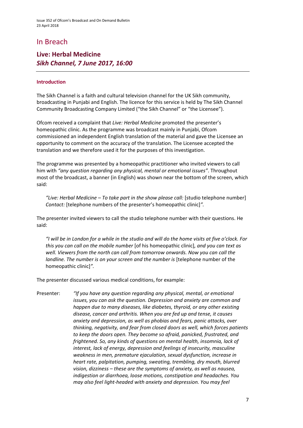# In Breach

### **Live: Herbal Medicine** *Sikh Channel, 7 June 2017, 16:00*

#### **Introduction**

The Sikh Channel is a faith and cultural television channel for the UK Sikh community, broadcasting in Punjabi and English. The licence for this service is held by The Sikh Channel Community Broadcasting Company Limited ("the Sikh Channel" or "the Licensee").

Ofcom received a complaint that *Live: Herbal Medicine* promoted the presenter's homeopathic clinic. As the programme was broadcast mainly in Punjabi, Ofcom commissioned an independent English translation of the material and gave the Licensee an opportunity to comment on the accuracy of the translation. The Licensee accepted the translation and we therefore used it for the purposes of this investigation.

The programme was presented by a homeopathic practitioner who invited viewers to call him with *"any question regarding any physical, mental or emotional issues"*. Throughout most of the broadcast, a banner (in English) was shown near the bottom of the screen, which said:

*"Live: Herbal Medicine – To take part in the show please call:* [studio telephone number] *Contact:* [telephone numbers of the presenter's homeopathic clinic]*".*

The presenter invited viewers to call the studio telephone number with their questions. He said:

*"I will be in London for a while in the studio and will do the home visits at five o'clock. For this you can call on the mobile number* [of his homeopathic clinic]*, and you can text as well. Viewers from the north can call from tomorrow onwards. Now you can call the landline. The number is on your screen and the number is* [telephone number of the homeopathic clinic]*".*

The presenter discussed various medical conditions, for example:

Presenter: *"If you have any question regarding any physical, mental, or emotional issues, you can ask the question. Depression and anxiety are common and happen due to many diseases, like diabetes, thyroid, or any other existing disease, cancer and arthritis. When you are fed up and tense, it causes anxiety and depression, as well as phobias and fears, panic attacks, over thinking, negativity, and fear from closed doors as well, which forces patients to keep the doors open. They become so afraid, panicked, frustrated, and frightened. So, any kinds of questions on mental health, insomnia, lack of interest, lack of energy, depression and feelings of insecurity, masculine weakness in men, premature ejaculation, sexual dysfunction, increase in heart rate, palpitation, pumping, sweating, trembling, dry mouth, blurred vision, dizziness – these are the symptoms of anxiety, as well as nausea, indigestion or diarrhoea, loose motions, constipation and headaches. You may also feel light-headed with anxiety and depression. You may feel*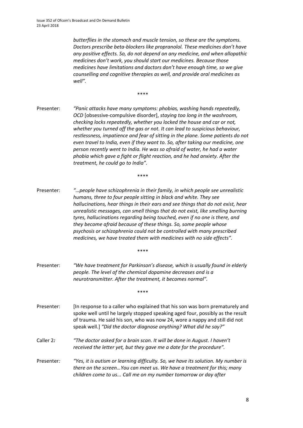*butterflies in the stomach and muscle tension, so these are the symptoms. Doctors prescribe beta-blockers like propranolol. These medicines don't have any positive effects. So, do not depend on any medicine, and when allopathic medicines don't work, you should start our medicines. Because those medicines have limitations and doctors don't have enough time, so we give counselling and cognitive therapies as well, and provide oral medicines as well".*

\*\*\*\*

Presenter: *"Panic attacks have many symptoms: phobias, washing hands repeatedly, OCD* [obsessive-compulsive disorder], *staying too long in the washroom, checking locks repeatedly, whether you locked the house and car or not, whether you turned off the gas or not. It can lead to suspicious behaviour, restlessness, impatience and fear of sitting in the plane. Some patients do not even travel to India, even if they want to. So, after taking our medicine, one person recently went to India. He was so afraid of water, he had a water phobia which gave a fight or flight reaction, and he had anxiety. After the treatment, he could go to India".*

\*\*\*\*

Presenter: *"…people have schizophrenia in their family, in which people see unrealistic humans, three to four people sitting in black and white. They see hallucinations, hear things in their ears and see things that do not exist, hear unrealistic messages, can smell things that do not exist, like smelling burning tyres, hallucinations regarding being touched, even if no one is there, and they become afraid because of these things. So, some people whose psychosis or schizophrenia could not be controlled with many prescribed medicines, we have treated them with medicines with no side effects".*

\*\*\*\*

Presenter: *"We have treatment for Parkinson's disease, which is usually found in elderly people. The level of the chemical dopamine decreases and is a neurotransmitter. After the treatment, it becomes normal".*

\*\*\*\*

- Presenter: [In response to a caller who explained that his son was born prematurely and spoke well until he largely stopped speaking aged four, possibly as the result of trauma. He said his son, who was now 24, wore a nappy and still did not speak well.] *"Did the doctor diagnose anything? What did he say?"*
- Caller 2*: "The doctor asked for a brain scan. It will be done in August. I haven't received the letter yet, but they gave me a date for the procedure".*
- Presenter*: "Yes, it is autism or learning difficulty. So, we have its solution. My number is there on the screen…You can meet us. We have a treatment for this; many children come to us... Call me on my number tomorrow or day after*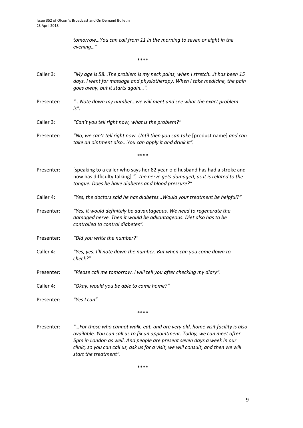*tomorrow…You can call from 11 in the morning to seven or eight in the evening…"*

\*\*\*\*

- Caller 3*: "My age is 58…The problem is my neck pains, when I stretch…It has been 15 days. I went for massage and physiotherapy. When I take medicine, the pain goes away, but it starts again…".*
- Presenter: *"...Note down my number…we will meet and see what the exact problem is".*
- Caller 3*: "Can't you tell right now, what is the problem?"*
- Presenter: *"No, we can't tell right now. Until then you can take* [product name] *and can take an ointment also...You can apply it and drink it".*

\*\*\*\*

- Presenter: [speaking to a caller who says her 82 year-old husband has had a stroke and now has difficulty talking] *"…the nerve gets damaged, as it is related to the tongue. Does he have diabetes and blood pressure?"*
- Caller 4: *"Yes, the doctors said he has diabetes…Would your treatment be helpful?"*
- Presenter: *"Yes, it would definitely be advantageous. We need to regenerate the damaged nerve. Then it would be advantageous. Diet also has to be controlled to control diabetes".*
- Presenter: *"Did you write the number?"*
- Caller 4: *"Yes, yes. I'll note down the number. But when can you come down to check?"*
- Presenter: *"Please call me tomorrow. I will tell you after checking my diary".*
- Caller 4: *"Okay, would you be able to come home?"*

Presenter: *"Yes I can".*

\*\*\*\*

Presenter: *"…For those who cannot walk, eat, and are very old, home visit facility is also available. You can call us to fix an appointment. Today, we can meet after 5pm in London as well. And people are present seven days a week in our clinic, so you can call us, ask us for a visit, we will consult, and then we will start the treatment".*

\*\*\*\*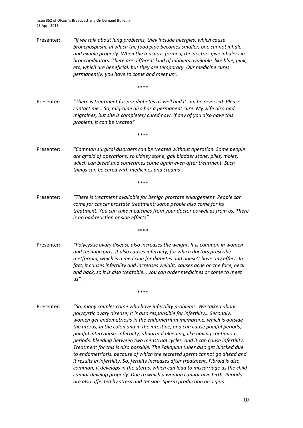Issue 352 of Ofcom's Broadcast and On Demand Bulletin 23 April 2018

Presenter: *"If we talk about lung problems, they include allergies, which cause bronchospasm, in which the food pipe becomes smaller, one cannot inhale and exhale properly. When the mucus is formed, the doctors give inhalers in bronchodilators. There are different kind of inhalers available, like blue, pink, etc, which are beneficial, but they are temporary. Our medicine cures permanently; you have to come and meet us".*

\*\*\*\*

Presenter: *"There is treatment for pre-diabetes as well and it can be reversed. Please contact me… So, migraine also has a permanent cure. My wife also had migraines, but she is completely cured now. If any of you also have this problem, it can be treated".*

\*\*\*\*

Presenter: *"Common surgical disorders can be treated without operation. Some people are afraid of operations, so kidney stone, gall bladder stone, piles, moles, which can bleed and sometimes come again even after treatment. Such things can be cured with medicines and creams".*

\*\*\*\*

Presenter: *"There is treatment available for benign prostate enlargement. People can come for cancer prostate treatment; some people also come for its treatment. You can take medicines from your doctor as well as from us. There is no bad reaction or side effects".*

\*\*\*\*

Presenter: *"Polycystic ovary disease also increases the weight. It is common in women and teenage girls. It also causes infertility, for which doctors prescribe metformin, which is a medicine for diabetes and doesn't have any effect. In fact, it causes infertility and increases weight, causes acne on the face, neck and back, so it is also treatable… you can order medicines or come to meet us".*

\*\*\*\*

Presenter: *"So, many couples come who have infertility problems. We talked about polycystic ovary disease; it is also responsible for infertility… Secondly, women get endometriosis in the endometrium membrane, which is outside the uterus, in the colon and in the intestine, and can cause painful periods, painful intercourse, infertility, abnormal bleeding, like having continuous periods, bleeding between two menstrual cycles, and it can cause infertility. Treatment for this is also possible. The Fallopian tubes also get blocked due to endometriosis, because of which the secreted sperm cannot go ahead and it results in infertility. So, fertility increases after treatment. Fibroid is also common; it develops in the uterus, which can lead to miscarriage as the child cannot develop properly. Due to which a woman cannot give birth. Periods are also affected by stress and tension. Sperm production also gets*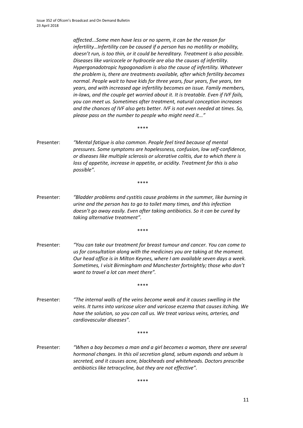*affected...Some men have less or no sperm, it can be the reason for infertility…Infertility can be caused if a person has no motility or mobility, doesn't run, is too thin, or it could be hereditary. Treatment is also possible. Diseases like varicocele or hydrocele are also the causes of infertility. Hypergonadotropic hypogonadism is also the cause of infertility. Whatever the problem is, there are treatments available, after which fertility becomes normal. People wait to have kids for three years, four years, five years, ten years, and with increased age infertility becomes an issue. Family members, in-laws, and the couple get worried about it. It is treatable. Even if IVF fails, you can meet us. Sometimes after treatment, natural conception increases and the chances of IVF also gets better. IVF is not even needed at times. So, please pass on the number to people who might need it..."*

\*\*\*\*

Presenter: *"Mental fatigue is also common. People feel tired because of mental pressures. Some symptoms are hopelessness, confusion, low self-confidence, or diseases like multiple sclerosis or ulcerative colitis, due to which there is loss of appetite, increase in appetite, or acidity. Treatment for this is also possible".*

\*\*\*\*

Presenter: *"Bladder problems and cystitis cause problems in the summer, like burning in urine and the person has to go to toilet many times, and this infection doesn't go away easily. Even after taking antibiotics. So it can be cured by taking alternative treatment".*

\*\*\*\*

Presenter: *"You can take our treatment for breast tumour and cancer. You can come to us for consultation along with the medicines you are taking at the moment. Our head office is in Milton Keynes, where I am available seven days a week. Sometimes, I visit Birmingham and Manchester fortnightly; those who don't want to travel a lot can meet there".* 

\*\*\*\*

Presenter: *"The internal walls of the veins become weak and it causes swelling in the veins. It turns into varicose ulcer and varicose eczema that causes itching. We have the solution, so you can call us. We treat various veins, arteries, and cardiovascular diseases".*

\*\*\*\*

Presenter: *"When a boy becomes a man and a girl becomes a woman, there are several hormonal changes. In this oil secretion gland, sebum expands and sebum is secreted, and it causes acne, blackheads and whiteheads. Doctors prescribe antibiotics like tetracycline, but they are not effective".*

\*\*\*\*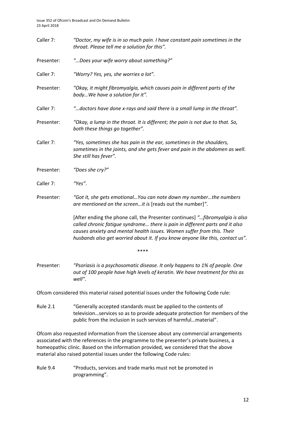| Caller 7:  | "Doctor, my wife is in so much pain. I have constant pain sometimes in the<br>throat. Please tell me a solution for this".                                                                                                                                                                                               |  |  |  |
|------------|--------------------------------------------------------------------------------------------------------------------------------------------------------------------------------------------------------------------------------------------------------------------------------------------------------------------------|--|--|--|
| Presenter: | "Does your wife worry about something?"                                                                                                                                                                                                                                                                                  |  |  |  |
| Caller 7:  | "Worry? Yes, yes, she worries a lot".                                                                                                                                                                                                                                                                                    |  |  |  |
| Presenter: | "Okay, it might fibromyalgia, which causes pain in different parts of the<br>bodyWe have a solution for it".                                                                                                                                                                                                             |  |  |  |
| Caller 7:  | "doctors have done x-rays and said there is a small lump in the throat".                                                                                                                                                                                                                                                 |  |  |  |
| Presenter: | "Okay, a lump in the throat. It is different; the pain is not due to that. So,<br>both these things go together".                                                                                                                                                                                                        |  |  |  |
| Caller 7:  | "Yes, sometimes she has pain in the ear, sometimes in the shoulders,<br>sometimes in the joints, and she gets fever and pain in the abdomen as well.<br>She still has fever".                                                                                                                                            |  |  |  |
| Presenter: | "Does she cry?"                                                                                                                                                                                                                                                                                                          |  |  |  |
| Caller 7:  | "Yes".                                                                                                                                                                                                                                                                                                                   |  |  |  |
| Presenter: | "Got it, she gets emotional You can note down my number the numbers<br>are mentioned on the screenit is [reads out the number]".                                                                                                                                                                                         |  |  |  |
|            | [After ending the phone call, the Presenter continues] "fibromyalgia is also<br>called chronic fatigue syndrome there is pain in different parts and it also<br>causes anxiety and mental health issues. Women suffer from this. Their<br>husbands also get worried about it. If you know anyone like this, contact us". |  |  |  |
|            | ****                                                                                                                                                                                                                                                                                                                     |  |  |  |
| Presenter: | "Psoriasis is a psychosomatic disease. It only happens to 1% of people. One<br>out of 100 people have high levels of keratin. We have treatment for this as<br>well".                                                                                                                                                    |  |  |  |
|            | Ofcom considered this material raised potential issues under the following Code rule:                                                                                                                                                                                                                                    |  |  |  |

Rule 2.1 "Generally accepted standards must be applied to the contents of television…services so as to provide adequate protection for members of the public from the inclusion in such services of harmful…material".

Ofcom also requested information from the Licensee about any commercial arrangements associated with the references in the programme to the presenter's private business, a homeopathic clinic. Based on the information provided, we considered that the above material also raised potential issues under the following Code rules:

Rule 9.4 "Products, services and trade marks must not be promoted in programming".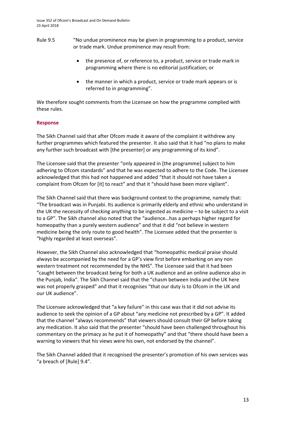- Rule 9.5 "No undue prominence may be given in programming to a product, service or trade mark. Undue prominence may result from:
	- the presence of, or reference to, a product, service or trade mark in programming where there is no editorial justification; or
	- the manner in which a product, service or trade mark appears or is referred to in programming".

We therefore sought comments from the Licensee on how the programme complied with these rules.

#### **Response**

The Sikh Channel said that after Ofcom made it aware of the complaint it withdrew any further programmes which featured the presenter. It also said that it had "no plans to make any further such broadcast with [the presenter] or any programming of its kind".

The Licensee said that the presenter "only appeared in [the programme] subject to him adhering to Ofcom standards" and that he was expected to adhere to the Code. The Licensee acknowledged that this had not happened and added "that it should not have taken a complaint from Ofcom for [it] to react" and that it "should have been more vigilant".

The Sikh Channel said that there was background context to the programme, namely that: "The broadcast was in Punjabi. Its audience is primarily elderly and ethnic who understand in the UK the necessity of checking anything to be ingested as medicine – to be subject to a visit to a GP". The Sikh channel also noted that the "audience…has a perhaps higher regard for homeopathy than a purely western audience" and that it did "not believe in western medicine being the only route to good health". The Licensee added that the presenter is "highly regarded at least overseas".

However, the Sikh Channel also acknowledged that "homeopathic medical praise should always be accompanied by the need for a GP's view first before embarking on any non western treatment not recommended by the NHS". The Licensee said that it had been "caught between the broadcast being for both a UK audience and an online audience also in the Punjab, India". The Sikh Channel said that the "chasm between India and the UK here was not properly grasped" and that it recognises "that our duty is to Ofcom in the UK and our UK audience".

The Licensee acknowledged that "a key failure" in this case was that it did not advise its audience to seek the opinion of a GP about "any medicine not prescribed by a GP". It added that the channel "always recommends" that viewers should consult their GP before taking any medication. It also said that the presenter "should have been challenged throughout his commentary on the primacy as he put it of homeopathy" and that "there should have been a warning to viewers that his views were his own, not endorsed by the channel".

The Sikh Channel added that it recognised the presenter's promotion of his own services was "a breach of [Rule] 9.4".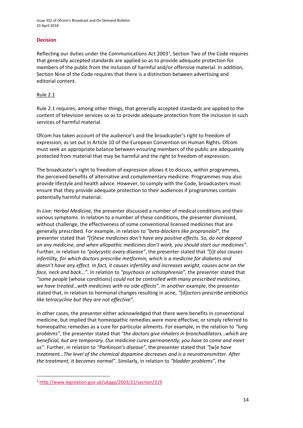Issue 352 of Ofcom's Broadcast and On Demand Bulletin 23 April 2018

#### **Decision**

Reflecting our duties under the Communications Act 2003<sup>1</sup>, Section Two of the Code requires that generally accepted standards are applied so as to provide adequate protection for members of the public from the inclusion of harmful and/or offensive material. In addition, Section Nine of the Code requires that there is a distinction between advertising and editorial content.

#### Rule 2.1

Rule 2.1 requires, among other things, that generally accepted standards are applied to the content of television services so as to provide adequate protection from the inclusion in such services of harmful material.

Ofcom has taken account of the audience's and the broadcaster's right to freedom of expression, as set out in Article 10 of the European Convention on Human Rights. Ofcom must seek an appropriate balance between ensuring members of the public are adequately protected from material that may be harmful and the right to freedom of expression.

The broadcaster's right to freedom of expression allows it to discuss, within programmes, the perceived benefits of alternative and complementary medicine. Programmes may also provide lifestyle and health advice. However, to comply with the Code, broadcasters must ensure that they provide adequate protection to their audiences if programmes contain potentially harmful material.

In *Live: Herbal Medicine*, the presenter discussed a number of medical conditions and their various symptoms. In relation to a number of these conditions, the presenter dismissed, without challenge, the effectiveness of some conventional licensed medicines that are generally prescribed. For example, in relation to *"beta-blockers like propranolol"*, the presenter stated that *"*[t]*hese medicines don't have any positive effects. So, do not depend on any medicine, and when allopathic medicines don't work, you should start our medicines"*. Further, in relation to *"polycystic ovary disease"*, the presenter stated that *"*[i]*t also causes infertility, for which doctors prescribe metformin, which is a medicine for diabetes and doesn't have any effect. In fact, it causes infertility and increases weight, causes acne on the face, neck and back…"*. In relation to *"psychosis or schizophrenia"*, the presenter stated that *"some people* [whose conditions] *could not be controlled with many prescribed medicines, we have treated…with medicines with no side effects"*. In another example, the presenter stated that, in relation to hormonal changes resulting in acne, *"*[d]*octors prescribe antibiotics like tetracycline but they are not effective"*.

In other cases, the presenter either acknowledged that there were benefits in conventional medicine, but implied that homeopathic remedies were more effective, or simply referred to homeopathic remedies as a cure for particular ailments. For example, in the relation to *"lung problems"*, the presenter stated that *"the doctors give inhalers in bronchodilators…which are beneficial, but are temporary. Our medicine cures permanently; you have to come and meet us"*. Further, in relation to *"Parkinson's disease"*, the presenter stated that *"*[w]*e have treatment…The level of the chemical dopamine decreases and is a neurotransmitter. After the treatment, it becomes normal"*. Similarly, in relation to *"bladder problems"*, the

**<sup>.</sup>** <sup>1</sup> <http://www.legislation.gov.uk/ukpga/2003/21/section/319>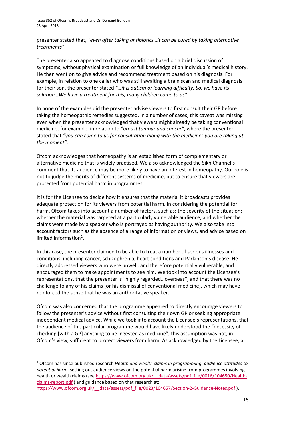presenter stated that, *"even after taking antibiotics…it can be cured by taking alternative treatments"*.

The presenter also appeared to diagnose conditions based on a brief discussion of symptoms, without physical examination or full knowledge of an individual's medical history. He then went on to give advice and recommend treatment based on his diagnosis. For example, in relation to one caller who was still awaiting a brain scan and medical diagnosis for their son, the presenter stated *"…it is autism or learning difficulty. So, we have its solution…We have a treatment for this; many children come to us"*.

In none of the examples did the presenter advise viewers to first consult their GP before taking the homeopathic remedies suggested. In a number of cases, this caveat was missing even when the presenter acknowledged that viewers might already be taking conventional medicine, for example, in relation to *"breast tumour and cancer"*, where the presenter stated that *"you can come to us for consultation along with the medicines you are taking at the moment"*.

Ofcom acknowledges that homeopathy is an established form of complementary or alternative medicine that is widely practised. We also acknowledged the Sikh Channel's comment that its audience may be more likely to have an interest in homeopathy. Our role is not to judge the merits of different systems of medicine, but to ensure that viewers are protected from potential harm in programmes.

It is for the Licensee to decide how it ensures that the material it broadcasts provides adequate protection for its viewers from potential harm. In considering the potential for harm, Ofcom takes into account a number of factors, such as: the severity of the situation; whether the material was targeted at a particularly vulnerable audience; and whether the claims were made by a speaker who is portrayed as having authority. We also take into account factors such as the absence of a range of information or views, and advice based on limited information<sup>2</sup>.

In this case, the presenter claimed to be able to treat a number of serious illnesses and conditions, including cancer, schizophrenia, heart conditions and Parkinson's disease. He directly addressed viewers who were unwell, and therefore potentially vulnerable, and encouraged them to make appointments to see him. We took into account the Licensee's representations, that the presenter is "highly regarded…overseas", and that there was no challenge to any of his claims (or his dismissal of conventional medicine), which may have reinforced the sense that he was an authoritative speaker.

Ofcom was also concerned that the programme appeared to directly encourage viewers to follow the presenter's advice without first consulting their own GP or seeking appropriate independent medical advice. While we took into account the Licensee's representations, that the audience of this particular programme would have likely understood the "necessity of checking [with a GP] anything to be ingested as medicine", this assumption was not, in Ofcom's view, sufficient to protect viewers from harm. As acknowledged by the Licensee, a

**.** 

<sup>2</sup> Ofcom has since published research *Health and wealth claims in programming: audience attitudes to potential harm*, setting out audience views on the potential harm arising from programmes involving health or wealth claims (see https://www.ofcom.org.uk/ data/assets/pdf file/0016/104650/Health[claims-report.pdf](https://www.ofcom.org.uk/__data/assets/pdf_file/0016/104650/Health-claims-report.pdf) ) and guidance based on that research at: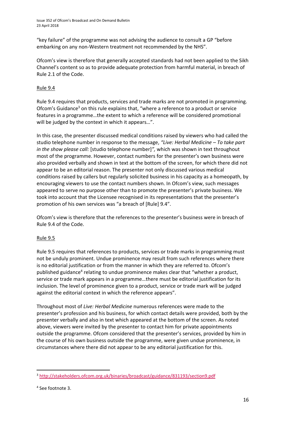"key failure" of the programme was not advising the audience to consult a GP "before embarking on any non-Western treatment not recommended by the NHS".

Ofcom's view is therefore that generally accepted standards had not been applied to the Sikh Channel's content so as to provide adequate protection from harmful material, in breach of Rule 2.1 of the Code.

### Rule 9.4

Rule 9.4 requires that products, services and trade marks are not promoted in programming. Ofcom's Guidance<sup>3</sup> on this rule explains that, "where a reference to a product or service features in a programme…the extent to which a reference will be considered promotional will be judged by the context in which it appears...".

In this case, the presenter discussed medical conditions raised by viewers who had called the studio telephone number in response to the message, *"Live: Herbal Medicine – To take part in the show please call:* [studio telephone number]*",* which was shown in text throughout most of the programme. However, contact numbers for the presenter's own business were also provided verbally and shown in text at the bottom of the screen, for which there did not appear to be an editorial reason. The presenter not only discussed various medical conditions raised by callers but regularly solicited business in his capacity as a homeopath, by encouraging viewers to use the contact numbers shown. In Ofcom's view, such messages appeared to serve no purpose other than to promote the presenter's private business. We took into account that the Licensee recognised in its representations that the presenter's promotion of his own services was "a breach of [Rule] 9.4".

Ofcom's view is therefore that the references to the presenter's business were in breach of Rule 9.4 of the Code.

### Rule 9.5

Rule 9.5 requires that references to products, services or trade marks in programming must not be unduly prominent. Undue prominence may result from such references where there is no editorial justification or from the manner in which they are referred to. Ofcom's published guidance<sup>4</sup> relating to undue prominence makes clear that "whether a product, service or trade mark appears in a programme…there must be editorial justification for its inclusion. The level of prominence given to a product, service or trade mark will be judged against the editorial context in which the reference appears".

Throughout most of *Live: Herbal Medicine* numerous references were made to the presenter's profession and his business, for which contact details were provided, both by the presenter verbally and also in text which appeared at the bottom of the screen. As noted above, viewers were invited by the presenter to contact him for private appointments outside the programme. Ofcom considered that the presenter's services, provided by him in the course of his own business outside the programme, were given undue prominence, in circumstances where there did not appear to be any editorial justification for this.

**.** 

<sup>3</sup> <http://stakeholders.ofcom.org.uk/binaries/broadcast/guidance/831193/section9.pdf>

<sup>4</sup> See footnote 3.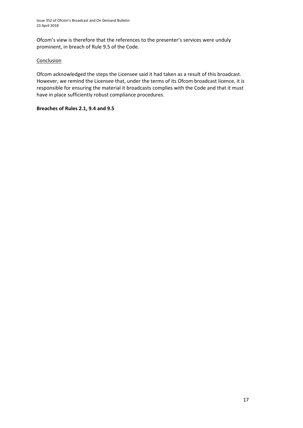Ofcom's view is therefore that the references to the presenter's services were unduly prominent, in breach of Rule 9.5 of the Code.

#### Conclusion

Ofcom acknowledged the steps the Licensee said it had taken as a result of this broadcast. However, we remind the Licensee that, under the terms of its Ofcom broadcast licence, it is responsible for ensuring the material it broadcasts complies with the Code and that it must have in place sufficiently robust compliance procedures.

#### **Breaches of Rules 2.1, 9.4 and 9.5**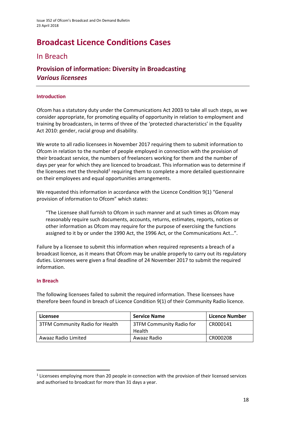# **Broadcast Licence Conditions Cases**

### In Breach

# **Provision of information: Diversity in Broadcasting**  *Various licensees*

### **Introduction**

Ofcom has a statutory duty under the Communications Act 2003 to take all such steps, as we consider appropriate, for promoting equality of opportunity in relation to employment and training by broadcasters, in terms of three of the 'protected characteristics' in the Equality Act 2010: gender, racial group and disability.

We wrote to all radio licensees in November 2017 requiring them to submit information to Ofcom in relation to the number of people employed in connection with the provision of their broadcast service, the numbers of freelancers working for them and the number of days per year for which they are licenced to broadcast. This information was to determine if the licensees met the threshold<sup>1</sup> requiring them to complete a more detailed questionnaire on their employees and equal opportunities arrangements.

We requested this information in accordance with the Licence Condition 9(1) "General provision of information to Ofcom" which states:

"The Licensee shall furnish to Ofcom in such manner and at such times as Ofcom may reasonably require such documents, accounts, returns, estimates, reports, notices or other information as Ofcom may require for the purpose of exercising the functions assigned to it by or under the 1990 Act, the 1996 Act, or the Communications Act…".

Failure by a licensee to submit this information when required represents a breach of a broadcast licence, as it means that Ofcom may be unable properly to carry out its regulatory duties. Licensees were given a final deadline of 24 November 2017 to submit the required information.

### **In Breach**

**.** 

The following licensees failed to submit the required information. These licensees have therefore been found in breach of Licence Condition 9(1) of their Community Radio licence.

| Licensee                        | <b>Service Name</b>                | Licence Number |
|---------------------------------|------------------------------------|----------------|
| 3TFM Community Radio for Health | 3TFM Community Radio for<br>Health | CR000141       |
| Awaaz Radio Limited             | Awaaz Radio                        | CR000208       |

 $1$  Licensees employing more than 20 people in connection with the provision of their licensed services and authorised to broadcast for more than 31 days a year.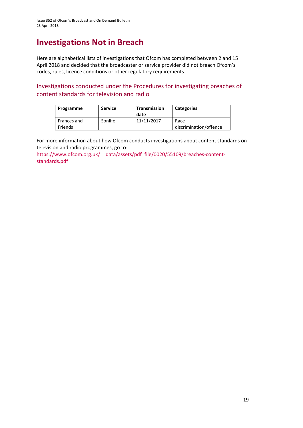# **Investigations Not in Breach**

Here are alphabetical lists of investigations that Ofcom has completed between 2 and 15 April 2018 and decided that the broadcaster or service provider did not breach Ofcom's codes, rules, licence conditions or other regulatory requirements.

Investigations conducted under the Procedures for investigating breaches of content standards for television and radio

| Programme              | <b>Service</b> | Transmission<br>date | <b>Categories</b>              |
|------------------------|----------------|----------------------|--------------------------------|
| Frances and<br>Friends | Sonlife        | 11/11/2017           | Race<br>discrimination/offence |

For more information about how Ofcom conducts investigations about content standards on television and radio programmes, go to:

https://www.ofcom.org.uk/ data/assets/pdf\_file/0020/55109/breaches-content[standards.pdf](https://www.ofcom.org.uk/__data/assets/pdf_file/0020/55109/breaches-content-standards.pdf)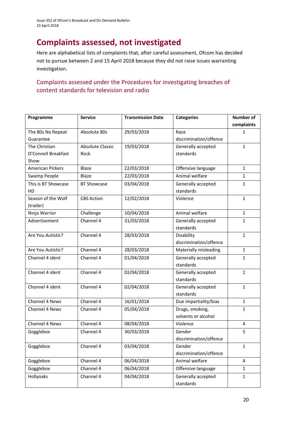# **Complaints assessed, not investigated**

Here are alphabetical lists of complaints that, after careful assessment, Ofcom has decided not to pursue between 2 and 15 April 2018 because they did not raise issues warranting investigation.

### Complaints assessed under the Procedures for investigating breaches of content standards for television and radio

| Programme               | <b>Service</b>          | <b>Transmission Date</b> | <b>Categories</b>      | <b>Number of</b> |
|-------------------------|-------------------------|--------------------------|------------------------|------------------|
|                         |                         |                          |                        | complaints       |
| The 80s No Repeat       | Absolute 80s            | 29/03/2018               | Race                   | 1                |
| Guarantee               |                         |                          | discrimination/offence |                  |
| The Christian           | <b>Absolute Classic</b> | 19/03/2018               | Generally accepted     | $\mathbf{1}$     |
| O'Connell Breakfast     | Rock                    |                          | standards              |                  |
| Show                    |                         |                          |                        |                  |
| <b>American Pickers</b> | Blaze                   | 22/03/2018               | Offensive language     | $\mathbf{1}$     |
| Swamp People            | <b>Blaze</b>            | 22/03/2018               | Animal welfare         | $\mathbf{1}$     |
| This is BT Showcase     | <b>BT Showcase</b>      | 03/04/2018               | Generally accepted     | $\mathbf{1}$     |
| HD                      |                         |                          | standards              |                  |
| Season of the Wolf      | <b>CBS Action</b>       | 12/02/2018               | Violence               | $\mathbf{1}$     |
| (trailer)               |                         |                          |                        |                  |
| Ninja Warrior           | Challenge               | 10/04/2018               | Animal welfare         | $\mathbf{1}$     |
| Advertisement           | Channel 4               | 31/03/2018               | Generally accepted     | 1                |
|                         |                         |                          | standards              |                  |
| Are You Autistic?       | Channel 4               | 28/03/2018               | Disability             | 1                |
|                         |                         |                          | discrimination/offence |                  |
| Are You Autistic?       | Channel 4               | 28/03/2018               | Materially misleading  | $\mathbf{1}$     |
| Channel 4 ident         | Channel 4               | 01/04/2018               | Generally accepted     | $\mathbf{1}$     |
|                         |                         |                          | standards              |                  |
| Channel 4 ident         | Channel 4               | 02/04/2018               | Generally accepted     | $\mathbf{1}$     |
|                         |                         |                          | standards              |                  |
| Channel 4 ident         | Channel 4               | 02/04/2018               | Generally accepted     | $\mathbf{1}$     |
|                         |                         |                          | standards              |                  |
| Channel 4 News          | Channel 4               | 16/01/2018               | Due impartiality/bias  | $\mathbf{1}$     |
| Channel 4 News          | Channel 4               | 05/04/2018               | Drugs, smoking,        | $\mathbf{1}$     |
|                         |                         |                          | solvents or alcohol    |                  |
| Channel 4 News          | Channel 4               | 08/04/2018               | Violence               | $\overline{4}$   |
| Gogglebox               | Channel 4               | 30/03/2018               | Gender                 | 5                |
|                         |                         |                          | discrimination/offence |                  |
| Gogglebox               | Channel 4               | 03/04/2018               | Gender                 | $\mathbf{1}$     |
|                         |                         |                          | discrimination/offence |                  |
| Gogglebox               | Channel 4               | 06/04/2018               | Animal welfare         | $\overline{4}$   |
| Gogglebox               | Channel 4               | 06/04/2018               | Offensive language     | $\mathbf{1}$     |
| Hollyoaks               | Channel 4               | 04/04/2018               | Generally accepted     | $\mathbf{1}$     |
|                         |                         |                          | standards              |                  |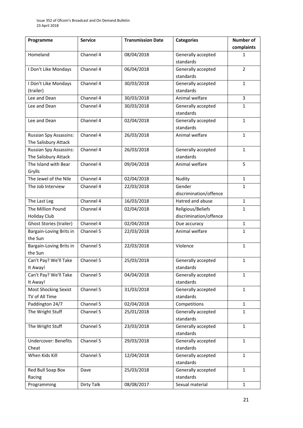| Programme                     | <b>Service</b> | <b>Transmission Date</b> | <b>Categories</b>      | Number of      |
|-------------------------------|----------------|--------------------------|------------------------|----------------|
|                               |                |                          |                        | complaints     |
| Homeland                      | Channel 4      | 08/04/2018               | Generally accepted     | 1              |
|                               |                |                          | standards              |                |
| I Don't Like Mondays          | Channel 4      | 06/04/2018               | Generally accepted     | $\overline{2}$ |
|                               |                |                          | standards              |                |
| I Don't Like Mondays          | Channel 4      | 30/03/2018               | Generally accepted     | $\mathbf{1}$   |
| (trailer)                     |                |                          | standards              |                |
| Lee and Dean                  | Channel 4      | 30/03/2018               | Animal welfare         | 3              |
| Lee and Dean                  | Channel 4      | 30/03/2018               | Generally accepted     | $\mathbf{1}$   |
|                               |                |                          | standards              |                |
| Lee and Dean                  | Channel 4      | 02/04/2018               | Generally accepted     | $\mathbf{1}$   |
|                               |                |                          | standards              |                |
| <b>Russian Spy Assassins:</b> | Channel 4      | 26/03/2018               | Animal welfare         | $\mathbf{1}$   |
| The Salisbury Attack          |                |                          |                        |                |
| <b>Russian Spy Assassins:</b> | Channel 4      | 26/03/2018               | Generally accepted     | $\mathbf{1}$   |
| The Salisbury Attack          |                |                          | standards              |                |
| The Island with Bear          | Channel 4      | 09/04/2018               | Animal welfare         | 5              |
| Grylls                        |                |                          |                        |                |
| The Jewel of the Nile         | Channel 4      | 02/04/2018               | Nudity                 | $\mathbf{1}$   |
| The Job Interview             | Channel 4      | 22/03/2018               | Gender                 | 1              |
|                               |                |                          | discrimination/offence |                |
| The Last Leg                  | Channel 4      | 16/03/2018               | Hatred and abuse       | $\mathbf{1}$   |
| The Million Pound             | Channel 4      | 02/04/2018               | Religious/Beliefs      | $\mathbf{1}$   |
| <b>Holiday Club</b>           |                |                          | discrimination/offence |                |
| Ghost Stories (trailer)       | Channel 4      | 02/04/2018               | Due accuracy           | $\mathbf{1}$   |
| Bargain-Loving Brits in       | Channel 5      | 22/03/2018               | Animal welfare         | 1              |
| the Sun                       |                |                          |                        |                |
| Bargain-Loving Brits in       | Channel 5      | 22/03/2018               | Violence               | $\mathbf{1}$   |
| the Sun                       |                |                          |                        |                |
| Can't Pay? We'll Take         | Channel 5      | 25/03/2018               | Generally accepted     | $\mathbf{1}$   |
| It Away!                      |                |                          | standards              |                |
| Can't Pay? We'll Take         | Channel 5      | 04/04/2018               | Generally accepted     | $\mathbf{1}$   |
| It Away!                      |                |                          | standards              |                |
| <b>Most Shocking Sexist</b>   | Channel 5      | 31/03/2018               | Generally accepted     | $\mathbf{1}$   |
| TV of All Time                |                |                          | standards              |                |
| Paddington 24/7               | Channel 5      | 02/04/2018               | Competitions           | $\mathbf{1}$   |
| The Wright Stuff              | Channel 5      | 25/01/2018               | Generally accepted     | $\mathbf{1}$   |
|                               |                |                          | standards              |                |
| The Wright Stuff              | Channel 5      | 23/03/2018               | Generally accepted     | $\mathbf{1}$   |
|                               |                |                          | standards              |                |
| <b>Undercover: Benefits</b>   | Channel 5      | 29/03/2018               | Generally accepted     | $\mathbf{1}$   |
| Cheat                         |                |                          | standards              |                |
| When Kids Kill                | Channel 5      | 12/04/2018               | Generally accepted     | $\mathbf{1}$   |
|                               |                |                          | standards              |                |
| Red Bull Soap Box             | Dave           | 25/03/2018               | Generally accepted     | $\mathbf{1}$   |
| Racing                        |                |                          | standards              |                |
| Programming                   | Dirty Talk     | 08/08/2017               | Sexual material        | $\mathbf{1}$   |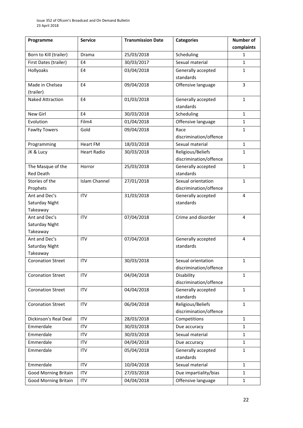| Programme                   | <b>Service</b>       | <b>Transmission Date</b> | <b>Categories</b>               | <b>Number of</b> |
|-----------------------------|----------------------|--------------------------|---------------------------------|------------------|
|                             |                      |                          |                                 | complaints       |
| Born to Kill (trailer)      | Drama                | 25/03/2018               | Scheduling                      | 1                |
| First Dates (trailer)       | E <sub>4</sub>       | 30/03/2017               | Sexual material                 | $\mathbf{1}$     |
| Hollyoaks                   | E4                   | 03/04/2018               | Generally accepted              | $\mathbf{1}$     |
|                             |                      |                          | standards                       |                  |
| Made in Chelsea             | E4                   | 09/04/2018               | Offensive language              | 3                |
| (trailer)                   |                      |                          |                                 |                  |
| <b>Naked Attraction</b>     | E <sub>4</sub>       | 01/03/2018               | Generally accepted              | $\mathbf{1}$     |
|                             |                      |                          | standards                       |                  |
| New Girl                    | E4                   | 30/03/2018               | Scheduling                      | $\mathbf{1}$     |
| Evolution                   | Film4                | 01/04/2018               | Offensive language              | $\mathbf{1}$     |
| <b>Fawlty Towers</b>        | Gold                 | 09/04/2018               | Race                            | 1                |
|                             |                      |                          | discrimination/offence          |                  |
| Programming                 | <b>Heart FM</b>      | 18/03/2018               | Sexual material                 | $\mathbf{1}$     |
| JK & Lucy                   | <b>Heart Radio</b>   | 30/03/2018               | Religious/Beliefs               | 1                |
|                             |                      |                          | discrimination/offence          |                  |
| The Masque of the           | Horror               | 25/03/2018               | Generally accepted              | $\mathbf{1}$     |
| <b>Red Death</b>            |                      |                          | standards                       |                  |
| Stories of the              | <b>Islam Channel</b> | 27/01/2018               | Sexual orientation              | $\mathbf{1}$     |
| Prophets                    |                      |                          | discrimination/offence          |                  |
| Ant and Dec's               | <b>ITV</b>           | 31/03/2018               | Generally accepted              | 4                |
| Saturday Night              |                      |                          | standards                       |                  |
| Takeaway                    |                      |                          |                                 |                  |
| Ant and Dec's               | <b>ITV</b>           | 07/04/2018               | Crime and disorder              | 4                |
| Saturday Night              |                      |                          |                                 |                  |
| Takeaway                    |                      |                          |                                 |                  |
| Ant and Dec's               | <b>ITV</b>           | 07/04/2018               | Generally accepted              | 4                |
| Saturday Night              |                      |                          | standards                       |                  |
| Takeaway                    |                      |                          |                                 |                  |
| <b>Coronation Street</b>    | <b>ITV</b>           | 30/03/2018               | Sexual orientation              | 1                |
|                             |                      |                          | discrimination/offence          |                  |
| <b>Coronation Street</b>    | <b>ITV</b>           | 04/04/2018               | Disability                      | $\mathbf{1}$     |
|                             |                      |                          | discrimination/offence          |                  |
| <b>Coronation Street</b>    | <b>ITV</b>           | 04/04/2018               | Generally accepted<br>standards | $\mathbf{1}$     |
| <b>Coronation Street</b>    | <b>ITV</b>           | 06/04/2018               | Religious/Beliefs               | $\mathbf{1}$     |
|                             |                      |                          | discrimination/offence          |                  |
| Dickinson's Real Deal       | <b>ITV</b>           | 28/03/2018               | Competitions                    | $\mathbf{1}$     |
| Emmerdale                   | <b>ITV</b>           | 30/03/2018               | Due accuracy                    | $\mathbf{1}$     |
| Emmerdale                   | <b>ITV</b>           | 30/03/2018               | Sexual material                 | $\mathbf{1}$     |
| Emmerdale                   | <b>ITV</b>           | 04/04/2018               | Due accuracy                    | $\mathbf{1}$     |
|                             |                      |                          |                                 |                  |
| Emmerdale                   | <b>ITV</b>           | 05/04/2018               | Generally accepted<br>standards | $\mathbf 1$      |
| Emmerdale                   | <b>ITV</b>           | 10/04/2018               | Sexual material                 | $\mathbf{1}$     |
| <b>Good Morning Britain</b> | <b>ITV</b>           | 27/03/2018               | Due impartiality/bias           | 1                |
| <b>Good Morning Britain</b> | <b>ITV</b>           | 04/04/2018               | Offensive language              | $\mathbf{1}$     |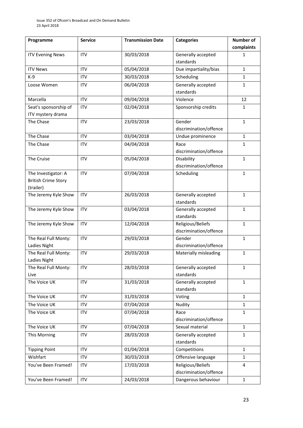| Programme                  | <b>Service</b> | <b>Transmission Date</b> | <b>Categories</b>               | Number of    |
|----------------------------|----------------|--------------------------|---------------------------------|--------------|
|                            |                |                          |                                 | complaints   |
| <b>ITV Evening News</b>    | <b>ITV</b>     | 30/03/2018               | Generally accepted              | 1            |
|                            |                |                          | standards                       |              |
| <b>ITV News</b>            | <b>ITV</b>     | 05/04/2018               | Due impartiality/bias           | $\mathbf{1}$ |
| $K-9$                      | <b>ITV</b>     | 30/03/2018               | Scheduling                      | $\mathbf{1}$ |
| Loose Women                | <b>ITV</b>     | 06/04/2018               | Generally accepted              | 1            |
|                            |                |                          | standards                       |              |
| Marcella                   | <b>ITV</b>     | 09/04/2018               | Violence                        | 12           |
| Seat's sponsorship of      | <b>ITV</b>     | 02/04/2018               | Sponsorship credits             | 1            |
| ITV mystery drama          |                |                          |                                 |              |
| The Chase                  | <b>ITV</b>     | 23/03/2018               | Gender                          | $\mathbf{1}$ |
|                            |                |                          | discrimination/offence          |              |
| The Chase                  | <b>ITV</b>     | 03/04/2018               | Undue prominence                | $\mathbf{1}$ |
| The Chase                  | <b>ITV</b>     | 04/04/2018               | Race                            | $\mathbf{1}$ |
|                            |                |                          | discrimination/offence          |              |
| The Cruise                 | <b>ITV</b>     | 05/04/2018               | Disability                      | $\mathbf{1}$ |
|                            |                |                          | discrimination/offence          |              |
| The Investigator: A        | <b>ITV</b>     | 07/04/2018               | Scheduling                      | $\mathbf{1}$ |
| <b>British Crime Story</b> |                |                          |                                 |              |
| (trailer)                  |                |                          |                                 |              |
| The Jeremy Kyle Show       | <b>ITV</b>     | 26/03/2018               | Generally accepted<br>standards | $\mathbf{1}$ |
| The Jeremy Kyle Show       | <b>ITV</b>     | 03/04/2018               | Generally accepted              | $\mathbf{1}$ |
|                            |                |                          | standards                       |              |
| The Jeremy Kyle Show       | <b>ITV</b>     | 12/04/2018               | Religious/Beliefs               | $\mathbf{1}$ |
|                            |                |                          | discrimination/offence          |              |
| The Real Full Monty:       | <b>ITV</b>     | 29/03/2018               | Gender                          | 1            |
| Ladies Night               |                |                          | discrimination/offence          |              |
| The Real Full Monty:       | <b>ITV</b>     | 29/03/2018               | Materially misleading           | $\mathbf{1}$ |
| Ladies Night               |                |                          |                                 |              |
| The Real Full Monty:       | <b>ITV</b>     | 28/03/2018               | Generally accepted              | $\mathbf{1}$ |
| Live                       |                |                          | standards                       |              |
| The Voice UK               | <b>ITV</b>     | 31/03/2018               | Generally accepted              | $\mathbf{1}$ |
|                            |                |                          | standards                       |              |
| The Voice UK               | <b>ITV</b>     | 31/03/2018               | Voting                          | $\mathbf{1}$ |
| The Voice UK               | <b>ITV</b>     | 07/04/2018               | Nudity                          | $\mathbf{1}$ |
| The Voice UK               | <b>ITV</b>     | 07/04/2018               | Race                            | $\mathbf{1}$ |
|                            |                |                          | discrimination/offence          |              |
| The Voice UK               | <b>ITV</b>     | 07/04/2018               | Sexual material                 | $\mathbf{1}$ |
| This Morning               | <b>ITV</b>     | 28/03/2018               | Generally accepted              | $\mathbf{1}$ |
|                            |                |                          | standards                       |              |
| <b>Tipping Point</b>       | <b>ITV</b>     | 01/04/2018               | Competitions                    | $\mathbf{1}$ |
| Wishfart                   | ITV            | 30/03/2018               | Offensive language              | $\mathbf{1}$ |
| You've Been Framed!        | <b>ITV</b>     | 17/03/2018               | Religious/Beliefs               | 4            |
|                            |                |                          | discrimination/offence          |              |
| You've Been Framed!        | <b>ITV</b>     | 24/03/2018               | Dangerous behaviour             | $\mathbf{1}$ |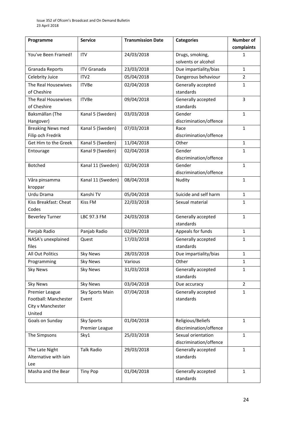| Programme                | <b>Service</b>     | <b>Transmission Date</b> | <b>Categories</b>      | <b>Number of</b> |
|--------------------------|--------------------|--------------------------|------------------------|------------------|
|                          |                    |                          |                        | complaints       |
| You've Been Framed!      | <b>ITV</b>         | 24/03/2018               | Drugs, smoking,        | 1                |
|                          |                    |                          | solvents or alcohol    |                  |
| Granada Reports          | <b>ITV Granada</b> | 23/03/2018               | Due impartiality/bias  | $\mathbf{1}$     |
| Celebrity Juice          | ITV <sub>2</sub>   | 05/04/2018               | Dangerous behaviour    | $\overline{2}$   |
| The Real Housewives      | <b>ITVBe</b>       | 02/04/2018               | Generally accepted     | $\mathbf 1$      |
| of Cheshire              |                    |                          | standards              |                  |
| The Real Housewives      | <b>ITVBe</b>       | 09/04/2018               | Generally accepted     | 3                |
| of Cheshire              |                    |                          | standards              |                  |
| Baksmällan (The          | Kanal 5 (Sweden)   | 03/03/2018               | Gender                 | $\mathbf{1}$     |
| Hangover)                |                    |                          | discrimination/offence |                  |
| <b>Breaking News med</b> | Kanal 5 (Sweden)   | 07/03/2018               | Race                   | $\mathbf{1}$     |
| Filip och Fredrik        |                    |                          | discrimination/offence |                  |
| Get Him to the Greek     | Kanal 5 (Sweden)   | 11/04/2018               | Other                  | $\mathbf{1}$     |
| Entourage                | Kanal 9 (Sweden)   | 02/04/2018               | Gender                 | 1                |
|                          |                    |                          | discrimination/offence |                  |
| <b>Botched</b>           | Kanal 11 (Sweden)  | 02/04/2018               | Gender                 | $\mathbf{1}$     |
|                          |                    |                          | discrimination/offence |                  |
| Våra pinsamma            | Kanal 11 (Sweden)  | 08/04/2018               | Nudity                 | $\mathbf{1}$     |
| kroppar                  |                    |                          |                        |                  |
| Urdu Drama               | Kanshi TV          | 05/04/2018               | Suicide and self harm  | $\mathbf{1}$     |
| Kiss Breakfast: Cheat    | <b>Kiss FM</b>     | 22/03/2018               | Sexual material        | 1                |
| Codes                    |                    |                          |                        |                  |
| <b>Beverley Turner</b>   | LBC 97.3 FM        | 24/03/2018               | Generally accepted     | $\mathbf{1}$     |
|                          |                    |                          | standards              |                  |
| Panjab Radio             | Panjab Radio       | 02/04/2018               | Appeals for funds      | $\mathbf{1}$     |
| NASA's unexplained       | Quest              | 17/03/2018               | Generally accepted     | 1                |
| files                    |                    |                          | standards              |                  |
| All Out Politics         | <b>Sky News</b>    | 28/03/2018               | Due impartiality/bias  | $\mathbf{1}$     |
| Programming              | <b>Sky News</b>    | Various                  | Other                  | 1                |
| <b>Sky News</b>          | <b>Sky News</b>    | 31/03/2018               | Generally accepted     | $\mathbf{1}$     |
|                          |                    |                          | standards              |                  |
| <b>Sky News</b>          | <b>Sky News</b>    | 03/04/2018               | Due accuracy           | $\overline{2}$   |
| Premier League           | Sky Sports Main    | 07/04/2018               | Generally accepted     | $\mathbf{1}$     |
| Football: Manchester     | Event              |                          | standards              |                  |
| City v Manchester        |                    |                          |                        |                  |
| United                   |                    |                          |                        |                  |
| Goals on Sunday          | <b>Sky Sports</b>  | 01/04/2018               | Religious/Beliefs      | $\mathbf{1}$     |
|                          | Premier League     |                          | discrimination/offence |                  |
| The Simpsons             | Sky1               | 25/03/2018               | Sexual orientation     | $\mathbf{1}$     |
|                          |                    |                          | discrimination/offence |                  |
| The Late Night           | <b>Talk Radio</b>  | 29/03/2018               | Generally accepted     | $\mathbf{1}$     |
| Alternative with Iain    |                    |                          | standards              |                  |
| Lee                      |                    |                          |                        |                  |
| Masha and the Bear       | <b>Tiny Pop</b>    | 01/04/2018               | Generally accepted     | $\mathbf{1}$     |
|                          |                    |                          | standards              |                  |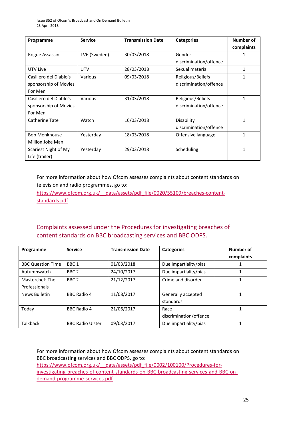| Programme              | <b>Service</b> | <b>Transmission Date</b> | <b>Categories</b>      | Number of    |
|------------------------|----------------|--------------------------|------------------------|--------------|
|                        |                |                          |                        | complaints   |
| Rogue Assassin         | TV6 (Sweden)   | 30/03/2018               | Gender                 | 1            |
|                        |                |                          | discrimination/offence |              |
| UTV Live               | <b>UTV</b>     | 28/03/2018               | Sexual material        | 1            |
| Casillero del Diablo's | Various        | 09/03/2018               | Religious/Beliefs      | 1            |
| sponsorship of Movies  |                |                          | discrimination/offence |              |
| For Men                |                |                          |                        |              |
| Casillero del Diablo's | Various        | 31/03/2018               | Religious/Beliefs      | 1            |
| sponsorship of Movies  |                |                          | discrimination/offence |              |
| For Men                |                |                          |                        |              |
| <b>Catherine Tate</b>  | Watch          | 16/03/2018               | Disability             | 1            |
|                        |                |                          | discrimination/offence |              |
| <b>Bob Monkhouse</b>   | Yesterday      | 18/03/2018               | Offensive language     | $\mathbf{1}$ |
| Million Joke Man       |                |                          |                        |              |
| Scariest Night of My   | Yesterday      | 29/03/2018               | Scheduling             | 1            |
| Life (trailer)         |                |                          |                        |              |

For more information about how Ofcom assesses complaints about content standards on television and radio programmes, go to:

[https://www.ofcom.org.uk/\\_\\_data/assets/pdf\\_file/0020/55109/breaches-content](https://www.ofcom.org.uk/__data/assets/pdf_file/0020/55109/breaches-content-standards.pdf)[standards.pdf](https://www.ofcom.org.uk/__data/assets/pdf_file/0020/55109/breaches-content-standards.pdf)

### Complaints assessed under the Procedures for investigating breaches of content standards on BBC broadcasting services and BBC ODPS.

| Programme                | <b>Service</b>          | <b>Transmission Date</b> | <b>Categories</b>      | Number of  |
|--------------------------|-------------------------|--------------------------|------------------------|------------|
|                          |                         |                          |                        | complaints |
| <b>BBC Question Time</b> | BBC <sub>1</sub>        | 01/03/2018               | Due impartiality/bias  |            |
| Autumnwatch              | BBC <sub>2</sub>        | 24/10/2017               | Due impartiality/bias  |            |
| Masterchef: The          | BBC <sub>2</sub>        | 21/12/2017               | Crime and disorder     | 1          |
| Professionals            |                         |                          |                        |            |
| News Bulletin            | <b>BBC Radio 4</b>      | 11/08/2017               | Generally accepted     |            |
|                          |                         |                          | standards              |            |
| Today                    | <b>BBC Radio 4</b>      | 21/06/2017               | Race                   | 1          |
|                          |                         |                          | discrimination/offence |            |
| <b>Talkback</b>          | <b>BBC Radio Ulster</b> | 09/03/2017               | Due impartiality/bias  |            |

For more information about how Ofcom assesses complaints about content standards on BBC broadcasting services and BBC ODPS, go to: https://www.ofcom.org.uk/ data/assets/pdf\_file/0002/100100/Procedures-for[investigating-breaches-of-content-standards-on-BBC-broadcasting-services-and-BBC-on](https://www.ofcom.org.uk/__data/assets/pdf_file/0002/100100/Procedures-for-investigating-breaches-of-content-standards-on-BBC-broadcasting-services-and-BBC-on-demand-programme-services.pdf)[demand-programme-services.pdf](https://www.ofcom.org.uk/__data/assets/pdf_file/0002/100100/Procedures-for-investigating-breaches-of-content-standards-on-BBC-broadcasting-services-and-BBC-on-demand-programme-services.pdf)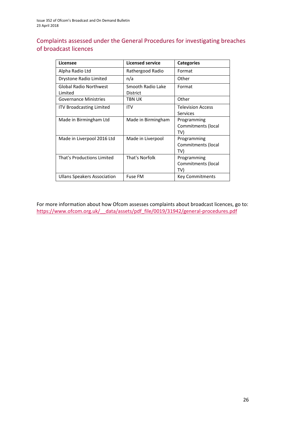### Complaints assessed under the General Procedures for investigating breaches of broadcast licences

| Licensee                                 | <b>Licensed service</b>       | <b>Categories</b>                           |
|------------------------------------------|-------------------------------|---------------------------------------------|
| Alpha Radio Ltd                          | Rathergood Radio              | Format                                      |
| Drystone Radio Limited                   | n/a                           | Other                                       |
| <b>Global Radio Northwest</b><br>Limited | Smooth Radio Lake<br>District | Format                                      |
| <b>Governance Ministries</b>             | TBN UK                        | Other                                       |
| <b>ITV Broadcasting Limited</b>          | <b>ITV</b>                    | <b>Television Access</b><br><b>Services</b> |
| Made in Birmingham Ltd                   | Made in Birmingham            | Programming<br>Commitments (local<br>TV)    |
| Made in Liverpool 2016 Ltd               | Made in Liverpool             | Programming<br>Commitments (local<br>TV)    |
| That's Productions Limited               | That's Norfolk                | Programming<br>Commitments (local<br>TV)    |
| Ullans Speakers Association              | <b>Fuse FM</b>                | <b>Key Commitments</b>                      |

For more information about how Ofcom assesses complaints about broadcast licences, go to: [https://www.ofcom.org.uk/\\_\\_data/assets/pdf\\_file/0019/31942/general-procedures.pdf](https://www.ofcom.org.uk/__data/assets/pdf_file/0019/31942/general-procedures.pdf)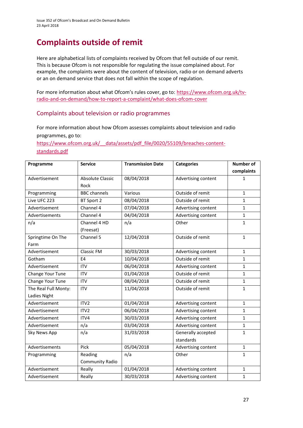# **Complaints outside of remit**

Here are alphabetical lists of complaints received by Ofcom that fell outside of our remit. This is because Ofcom is not responsible for regulating the issue complained about. For example, the complaints were about the content of television, radio or on demand adverts or an on demand service that does not fall within the scope of regulation.

For more information about what Ofcom's rules cover, go to: [https://www.ofcom.org.uk/tv](https://www.ofcom.org.uk/tv-radio-and-on-demand/how-to-report-a-complaint/what-does-ofcom-cover)[radio-and-on-demand/how-to-report-a-complaint/what-does-ofcom-cover](https://www.ofcom.org.uk/tv-radio-and-on-demand/how-to-report-a-complaint/what-does-ofcom-cover)

### Complaints about television or radio programmes

For more information about how Ofcom assesses complaints about television and radio programmes, go to:

[https://www.ofcom.org.uk/\\_\\_data/assets/pdf\\_file/0020/55109/breaches-content](https://www.ofcom.org.uk/__data/assets/pdf_file/0020/55109/breaches-content-standards.pdf)[standards.pdf](https://www.ofcom.org.uk/__data/assets/pdf_file/0020/55109/breaches-content-standards.pdf)

| Programme            | <b>Service</b>          | <b>Transmission Date</b> | <b>Categories</b>   | <b>Number of</b> |
|----------------------|-------------------------|--------------------------|---------------------|------------------|
|                      |                         |                          |                     | complaints       |
| Advertisement        | <b>Absolute Classic</b> | 08/04/2018               | Advertising content | $\mathbf{1}$     |
|                      | Rock                    |                          |                     |                  |
| Programming          | <b>BBC</b> channels     | Various                  | Outside of remit    | $\mathbf{1}$     |
| Live UFC 223         | BT Sport 2              | 08/04/2018               | Outside of remit    | $\mathbf{1}$     |
| Advertisement        | Channel 4               | 07/04/2018               | Advertising content | $\mathbf{1}$     |
| Advertisements       | Channel 4               | 04/04/2018               | Advertising content | $\mathbf{1}$     |
| n/a                  | Channel 4 HD            | n/a                      | Other               | $\mathbf{1}$     |
|                      | (Freesat)               |                          |                     |                  |
| Springtime On The    | Channel 5               | 12/04/2018               | Outside of remit    | $\mathbf{1}$     |
| Farm                 |                         |                          |                     |                  |
| Advertisement        | Classic FM              | 30/03/2018               | Advertising content | $\mathbf{1}$     |
| Gotham               | E4                      | 10/04/2018               | Outside of remit    | $\mathbf{1}$     |
| Advertisement        | <b>ITV</b>              | 06/04/2018               | Advertising content | $\mathbf{1}$     |
| Change Your Tune     | <b>ITV</b>              | 01/04/2018               | Outside of remit    | $\mathbf{1}$     |
| Change Your Tune     | <b>ITV</b>              | 08/04/2018               | Outside of remit    | $\mathbf{1}$     |
| The Real Full Monty: | <b>ITV</b>              | 11/04/2018               | Outside of remit    | $\mathbf{1}$     |
| Ladies Night         |                         |                          |                     |                  |
| Advertisement        | ITV <sub>2</sub>        | 01/04/2018               | Advertising content | $\mathbf{1}$     |
| Advertisement        | ITV <sub>2</sub>        | 06/04/2018               | Advertising content | $\mathbf{1}$     |
| Advertisement        | ITV4                    | 30/03/2018               | Advertising content | $\mathbf{1}$     |
| Advertisement        | n/a                     | 03/04/2018               | Advertising content | $\mathbf{1}$     |
| Sky News App         | n/a                     | 31/03/2018               | Generally accepted  | $\mathbf{1}$     |
|                      |                         |                          | standards           |                  |
| Advertisements       | Pick                    | 05/04/2018               | Advertising content | $\mathbf{1}$     |
| Programming          | Reading                 | n/a                      | Other               | $\mathbf{1}$     |
|                      | Community Radio         |                          |                     |                  |
| Advertisement        | Really                  | 01/04/2018               | Advertising content | $\mathbf{1}$     |
| Advertisement        | Really                  | 30/03/2018               | Advertising content | $\mathbf{1}$     |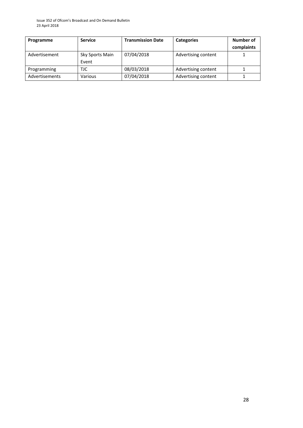Issue 352 of Ofcom's Broadcast and On Demand Bulletin 23 April 2018

| Programme      | <b>Service</b>           | <b>Transmission Date</b> | <b>Categories</b>   | Number of<br>complaints |
|----------------|--------------------------|--------------------------|---------------------|-------------------------|
| Advertisement  | Sky Sports Main<br>Event | 07/04/2018               | Advertising content |                         |
| Programming    | TJC                      | 08/03/2018               | Advertising content |                         |
| Advertisements | Various                  | 07/04/2018               | Advertising content |                         |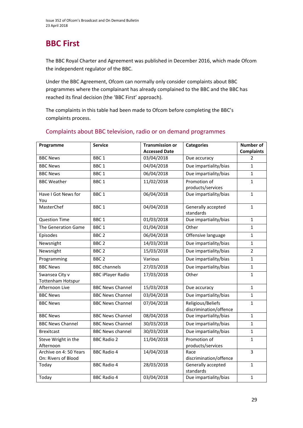# **BBC First**

The BBC Royal Charter and Agreement was published in December 2016, which made Ofcom the independent regulator of the BBC.

Under the BBC Agreement, Ofcom can normally only consider complaints about BBC programmes where the complainant has already complained to the BBC and the BBC has reached its final decision (the 'BBC First' approach).

The complaints in this table had been made to Ofcom before completing the BBC's complaints process.

| Programme                                  | <b>Service</b>           | <b>Transmission or</b> | <b>Categories</b>                           | <b>Number of</b>  |
|--------------------------------------------|--------------------------|------------------------|---------------------------------------------|-------------------|
|                                            |                          | <b>Accessed Date</b>   |                                             | <b>Complaints</b> |
| <b>BBC News</b>                            | BBC <sub>1</sub>         | 03/04/2018             | Due accuracy                                | $\overline{2}$    |
| <b>BBC News</b>                            | BBC <sub>1</sub>         | 04/04/2018             | Due impartiality/bias                       | $\mathbf{1}$      |
| <b>BBC News</b>                            | BBC <sub>1</sub>         | 06/04/2018             | Due impartiality/bias                       | $\mathbf{1}$      |
| <b>BBC Weather</b>                         | BBC <sub>1</sub>         | 11/02/2018             | Promotion of<br>products/services           | $\mathbf{1}$      |
| Have I Got News for<br>You                 | BBC <sub>1</sub>         | 06/04/2018             | Due impartiality/bias                       | $\mathbf{1}$      |
| MasterChef                                 | BBC <sub>1</sub>         | 04/04/2018             | Generally accepted<br>standards             | $\mathbf{1}$      |
| <b>Question Time</b>                       | BBC <sub>1</sub>         | 01/03/2018             | Due impartiality/bias                       | $\mathbf{1}$      |
| The Generation Game                        | BBC <sub>1</sub>         | 01/04/2018             | Other                                       | $\mathbf{1}$      |
| Episodes                                   | BBC <sub>2</sub>         | 06/04/2018             | Offensive language                          | $\mathbf{1}$      |
| Newsnight                                  | BBC <sub>2</sub>         | 14/03/2018             | Due impartiality/bias                       | $\mathbf{1}$      |
| Newsnight                                  | BBC <sub>2</sub>         | 15/03/2018             | Due impartiality/bias                       | $\overline{2}$    |
| Programming                                | BBC <sub>2</sub>         | Various                | Due impartiality/bias                       | $\mathbf{1}$      |
| <b>BBC News</b>                            | <b>BBC</b> channels      | 27/03/2018             | Due impartiality/bias                       | $\mathbf{1}$      |
| Swansea City v<br><b>Tottenham Hotspur</b> | <b>BBC iPlayer Radio</b> | 17/03/2018             | Other                                       | $\mathbf{1}$      |
| Afternoon Live                             | <b>BBC News Channel</b>  | 15/03/2018             | Due accuracy                                | $\mathbf{1}$      |
| <b>BBC News</b>                            | <b>BBC News Channel</b>  | 03/04/2018             | Due impartiality/bias                       | $\mathbf{1}$      |
| <b>BBC News</b>                            | <b>BBC News Channel</b>  | 07/04/2018             | Religious/Beliefs<br>discrimination/offence | $\mathbf{1}$      |
| <b>BBC News</b>                            | <b>BBC News Channel</b>  | 08/04/2018             | Due impartiality/bias                       | $\mathbf{1}$      |
| <b>BBC News Channel</b>                    | <b>BBC News Channel</b>  | 30/03/2018             | Due impartiality/bias                       | $\mathbf{1}$      |
| <b>Brexitcast</b>                          | <b>BBC News channel</b>  | 30/03/2018             | Due impartiality/bias                       | $\mathbf{1}$      |
| Steve Wright in the                        | <b>BBC Radio 2</b>       | 11/04/2018             | Promotion of                                | $\mathbf{1}$      |
| Afternoon                                  |                          |                        | products/services                           |                   |
| Archive on 4: 50 Years                     | <b>BBC Radio 4</b>       | 14/04/2018             | Race                                        | 3                 |
| On: Rivers of Blood                        |                          |                        | discrimination/offence                      |                   |
| Today                                      | <b>BBC Radio 4</b>       | 28/03/2018             | Generally accepted<br>standards             | $\mathbf{1}$      |
| Today                                      | <b>BBC Radio 4</b>       | 03/04/2018             | Due impartiality/bias                       | $\mathbf{1}$      |

### Complaints about BBC television, radio or on demand programmes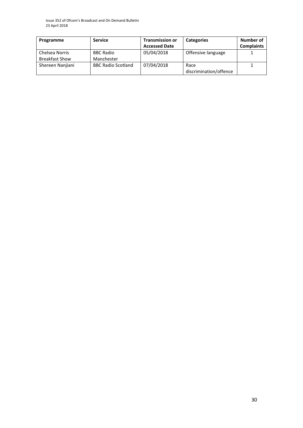Issue 352 of Ofcom's Broadcast and On Demand Bulletin 23 April 2018

| Programme             | <b>Service</b>            | <b>Transmission or</b> | <b>Categories</b>      | Number of         |
|-----------------------|---------------------------|------------------------|------------------------|-------------------|
|                       |                           | <b>Accessed Date</b>   |                        | <b>Complaints</b> |
| Chelsea Norris        | <b>BBC Radio</b>          | 05/04/2018             | Offensive language     |                   |
| <b>Breakfast Show</b> | Manchester                |                        |                        |                   |
| Shereen Nanjiani      | <b>BBC Radio Scotland</b> | 07/04/2018             | Race                   |                   |
|                       |                           |                        | discrimination/offence |                   |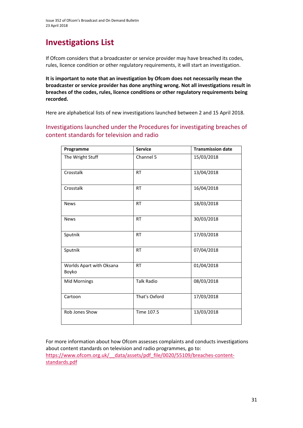# **Investigations List**

If Ofcom considers that a broadcaster or service provider may have breached its codes, rules, licence condition or other regulatory requirements, it will start an investigation.

**It is important to note that an investigation by Ofcom does not necessarily mean the broadcaster or service provider has done anything wrong. Not all investigations result in breaches of the codes, rules, licence conditions or other regulatory requirements being recorded.**

Here are alphabetical lists of new investigations launched between 2 and 15 April 2018.

Investigations launched under the Procedures for investigating breaches of content standards for television and radio

| Programme                         | <b>Service</b>    | <b>Transmission date</b> |
|-----------------------------------|-------------------|--------------------------|
| The Wright Stuff                  | Channel 5         | 15/03/2018               |
| Crosstalk                         | <b>RT</b>         | 13/04/2018               |
| Crosstalk                         | <b>RT</b>         | 16/04/2018               |
| <b>News</b>                       | <b>RT</b>         | 18/03/2018               |
| <b>News</b>                       | <b>RT</b>         | 30/03/2018               |
| Sputnik                           | <b>RT</b>         | 17/03/2018               |
| Sputnik                           | <b>RT</b>         | 07/04/2018               |
| Worlds Apart with Oksana<br>Boyko | <b>RT</b>         | 01/04/2018               |
| <b>Mid Mornings</b>               | <b>Talk Radio</b> | 08/03/2018               |
| Cartoon                           | That's Oxford     | 17/03/2018               |
| Rob Jones Show                    | Time 107.5        | 13/03/2018               |

For more information about how Ofcom assesses complaints and conducts investigations about content standards on television and radio programmes, go to: [https://www.ofcom.org.uk/\\_\\_data/assets/pdf\\_file/0020/55109/breaches-content](https://www.ofcom.org.uk/__data/assets/pdf_file/0020/55109/breaches-content-standards.pdf)[standards.pdf](https://www.ofcom.org.uk/__data/assets/pdf_file/0020/55109/breaches-content-standards.pdf)